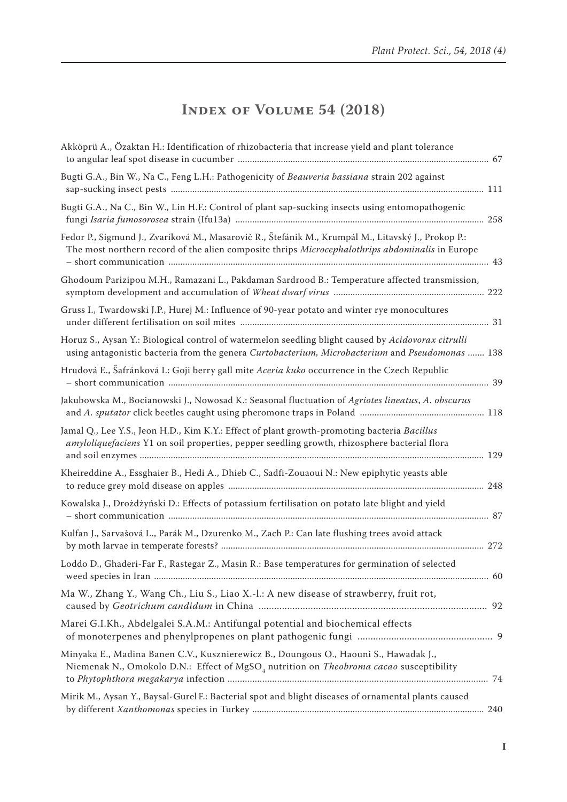## **Index of Volume 54 (2018)**

| Akköprü A., Özaktan H.: Identification of rhizobacteria that increase yield and plant tolerance                                                                                                       |  |
|-------------------------------------------------------------------------------------------------------------------------------------------------------------------------------------------------------|--|
| Bugti G.A., Bin W., Na C., Feng L.H.: Pathogenicity of Beauveria bassiana strain 202 against                                                                                                          |  |
| Bugti G.A., Na C., Bin W., Lin H.F.: Control of plant sap-sucking insects using entomopathogenic                                                                                                      |  |
| Fedor P., Sigmund J., Zvaríková M., Masarovič R., Štefánik M., Krumpál M., Litavský J., Prokop P.:<br>The most northern record of the alien composite thrips Microcephalothrips abdominalis in Europe |  |
| Ghodoum Parizipou M.H., Ramazani L., Pakdaman Sardrood B.: Temperature affected transmission,                                                                                                         |  |
| Gruss I., Twardowski J.P., Hurej M.: Influence of 90-year potato and winter rye monocultures                                                                                                          |  |
| Horuz S., Aysan Y.: Biological control of watermelon seedling blight caused by Acidovorax citrulli<br>using antagonistic bacteria from the genera Curtobacterium, Microbacterium and Pseudomonas  138 |  |
| Hrudová E., Šafránková I.: Goji berry gall mite Aceria kuko occurrence in the Czech Republic                                                                                                          |  |
| Jakubowska M., Bocianowski J., Nowosad K.: Seasonal fluctuation of Agriotes lineatus, A. obscurus                                                                                                     |  |
| Jamal Q., Lee Y.S., Jeon H.D., Kim K.Y.: Effect of plant growth-promoting bacteria Bacillus<br>amyloliquefaciens Y1 on soil properties, pepper seedling growth, rhizosphere bacterial flora           |  |
| Kheireddine A., Essghaier B., Hedi A., Dhieb C., Sadfi-Zouaoui N.: New epiphytic yeasts able                                                                                                          |  |
| Kowalska J., Drożdżyński D.: Effects of potassium fertilisation on potato late blight and yield                                                                                                       |  |
| Kulfan J., Sarvašová L., Parák M., Dzurenko M., Zach P.: Can late flushing trees avoid attack                                                                                                         |  |
| Loddo D., Ghaderi-Far F., Rastegar Z., Masin R.: Base temperatures for germination of selected                                                                                                        |  |
| Ma W., Zhang Y., Wang Ch., Liu S., Liao X.-l.: A new disease of strawberry, fruit rot,                                                                                                                |  |
| Marei G.I.Kh., Abdelgalei S.A.M.: Antifungal potential and biochemical effects                                                                                                                        |  |
| Minyaka E., Madina Banen C.V., Kusznierewicz B., Doungous O., Haouni S., Hawadak J.,<br>Niemenak N., Omokolo D.N.: Effect of MgSO <sub>4</sub> nutrition on Theobroma cacao susceptibility            |  |
| Mirik M., Aysan Y., Baysal-Gurel F.: Bacterial spot and blight diseases of ornamental plants caused                                                                                                   |  |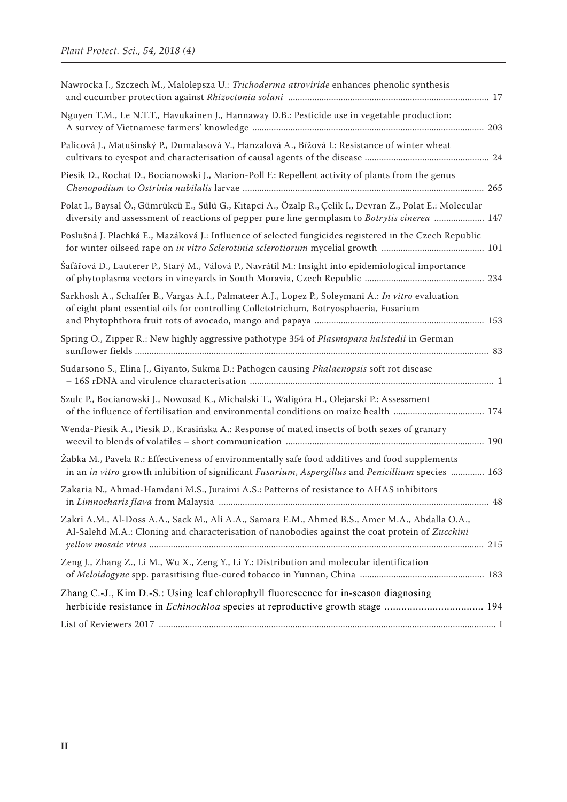| Nawrocka J., Szczech M., Małolepsza U.: Trichoderma atroviride enhances phenolic synthesis                                                                                                                      |  |
|-----------------------------------------------------------------------------------------------------------------------------------------------------------------------------------------------------------------|--|
| Nguyen T.M., Le N.T.T., Havukainen J., Hannaway D.B.: Pesticide use in vegetable production:                                                                                                                    |  |
| Palicová J., Matušinský P., Dumalasová V., Hanzalová A., Bížová I.: Resistance of winter wheat                                                                                                                  |  |
| Piesik D., Rochat D., Bocianowski J., Marion-Poll F.: Repellent activity of plants from the genus                                                                                                               |  |
| Polat I., Baysal Ö., Gümrükcü E., Sülü G., Kitapci A., Özalp R., Çelik I., Devran Z., Polat E.: Molecular<br>diversity and assessment of reactions of pepper pure line germplasm to <i>Botrytis cinerea</i> 147 |  |
| Poslušná J. Plachká E., Mazáková J.: Influence of selected fungicides registered in the Czech Republic                                                                                                          |  |
| Šafářová D., Lauterer P., Starý M., Válová P., Navrátil M.: Insight into epidemiological importance                                                                                                             |  |
| Sarkhosh A., Schaffer B., Vargas A.I., Palmateer A.J., Lopez P., Soleymani A.: In vitro evaluation<br>of eight plant essential oils for controlling Colletotrichum, Botryosphaeria, Fusarium                    |  |
| Spring O., Zipper R.: New highly aggressive pathotype 354 of Plasmopara halstedii in German                                                                                                                     |  |
| Sudarsono S., Elina J., Giyanto, Sukma D.: Pathogen causing <i>Phalaenopsis</i> soft rot disease                                                                                                                |  |
| Szulc P., Bocianowski J., Nowosad K., Michalski T., Waligóra H., Olejarski P.: Assessment                                                                                                                       |  |
| Wenda-Piesik A., Piesik D., Krasińska A.: Response of mated insects of both sexes of granary                                                                                                                    |  |
| Žabka M., Pavela R.: Effectiveness of environmentally safe food additives and food supplements<br>in an in vitro growth inhibition of significant Fusarium, Aspergillus and Penicillium species  163            |  |
| Zakaria N., Ahmad-Hamdani M.S., Juraimi A.S.: Patterns of resistance to AHAS inhibitors                                                                                                                         |  |
| Zakri A.M., Al-Doss A.A., Sack M., Ali A.A., Samara E.M., Ahmed B.S., Amer M.A., Abdalla O.A.,<br>Al-Salehd M.A.: Cloning and characterisation of nanobodies against the coat protein of Zucchini               |  |
| Zeng J., Zhang Z., Li M., Wu X., Zeng Y., Li Y.: Distribution and molecular identification                                                                                                                      |  |
| Zhang C.-J., Kim D.-S.: Using leaf chlorophyll fluorescence for in-season diagnosing                                                                                                                            |  |
|                                                                                                                                                                                                                 |  |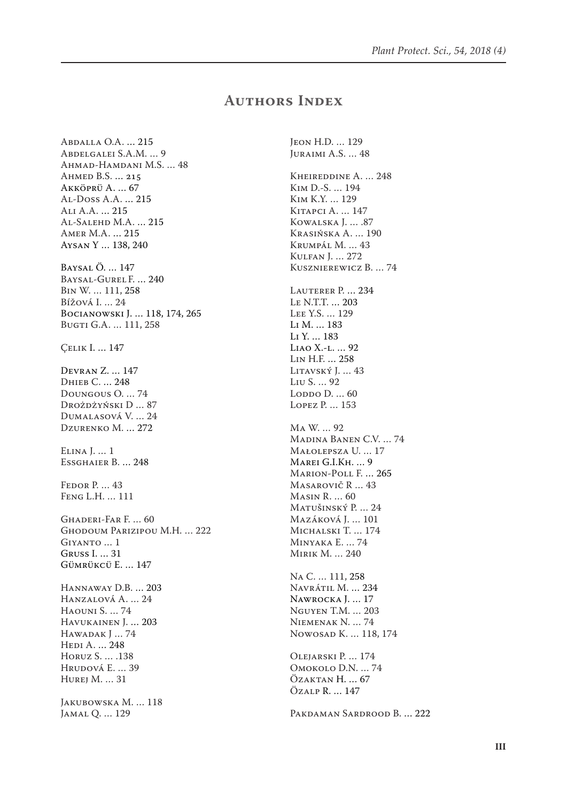## **Authors Index**

Abdalla O.A. … 215 Abdelgalei S.A.M. … 9 Ahmad-Hamdani M.S. … 48 Ahmed B.S. … 215 Akköprü A. … 67 Al-Doss A.A. … 215 Ali A.A. … 215 Al-Salehd M.A. … 215 Amer M.A. … 215 Aysan Y … 138, 240 Baysal Ö. … 147 Baysal-Gurel F. … 240 Bin W. … 111, 258 Bížová I. … 24 Bocianowski J. … 118, 174, 265 Bugti G.A. … 111, 258 Çelik I. … 147 Devran Z. … 147 Dhieb C. … 248 Doungous O. … 74 Drożdżyński D … 87 Dumalasová V. … 24 Dzurenko M. … 272 Elina J. … 1 Essghaier B. … 248 FEDOR P. ... 43 Feng L.H. … 111 Ghaderi-Far F. … 60 Ghodoum Parizipou M.H. … 222 Giyanto … 1 Gruss I. … 31 Gümrükcü E. … 147 Hannaway D.B. … 203 Hanzalová A. … 24 Haouni S. … 74 Havukainen J. … 203 Hawadak J … 74 Hedi A. … 248 Horuz S. … .138 Hrudová E. … 39 Hurej M. … 31 JAKUBOWSKA M. ... 118 Jamal Q. … 129

Jeon H.D. … 129 Juraimi A.S. … 48 Kheireddine A. … 248 Kim D.-S. … 194 Kim K.Y. … 129 Kitapci A. … 147 Kowalska J. … .87 Krasińska A. … 190 Krumpál M. … 43 Kulfan J. … 272 Kusznierewicz B. … 74 LAUTERER P. ... 234 Le N.T.T. … 203 Lee Y.S. … 129 Li M. … 183 Li Y. … 183 Liao X.-l. … 92 Lin H.F. … 258 Litavský J. … 43 Liu S. … 92 LODDO D. ... 60 Lopez P. … 153 Ma W. … 92 Madina Banen C.V. … 74 Małolepsza U. … 17 Marei G.I.Kh. … 9 Marion-Poll F. … 265 Masarovič R … 43 Masin R. … 60 Matušinský P. … 24 Mazáková J. … 101 Michalski T. … 174 Minyaka E. … 74 Mirik M. … 240 Na C. … 111, 258 Navrátil M. … 234 Nawrocka J. … 17 Nguyen T.M. … 203 Niemenak N. … 74 Nowosad K. … 118, 174 Olejarski P. … 174 Omokolo D.N. … 74 Özaktan H. … 67 Özalp R. … 147 Pakdaman Sardrood B. … 222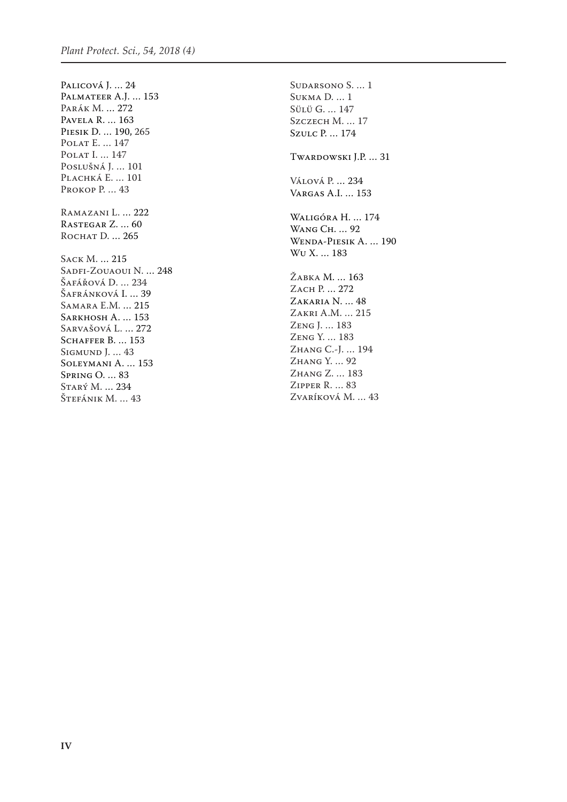Palicová J. … 24 Palmateer A.J. … 153 Parák M. … 272 Pavela R. … 163 Piesik D. … 190, 265 Polat E. … 147 POLAT I. ... 147 Poslušná J. … 101 PLACHKÁ E. ... 101 PROKOP P. ... 43 Ramazani L. … 222 Rastegar Z. … 60 ROCHAT D. ... 265 Sack M. … 215 Sadfi-Zouaoui N. ... 248 Šafářová D. ... 234 Šafránková I. … 39 Samara E.M. … 215 SARKHOSH A. ... 153 Sarvašová L. … 272 SCHAFFER B. ... 153 Sigmund J. … 43 Soleymani A. … 153 Spring O. … 83 Starý M. … 234 Štefánik M. … 43

Sudarsono S. … 1 Sukma D. … 1 Sülü G. … 147 Szczech M. ... 17 Szulc P. … 174 Twardowski J.P. … 31 Válová P. … 234 Vargas A.I. … 153 Waligóra H. … 174 Wang Ch. … 92 Wenda-Piesik A. … 190 Wu X. … 183 Žabka M. … 163 Zach P. … 272 Zakaria N. … 48 Zakri A.M. … 215 Zeng J. … 183 Zeng Y. … 183 Zhang C.-J. … 194 Zhang Y. … 92 Zhang Z. … 183 Zipper R. … 83 Zvaríková M. … 43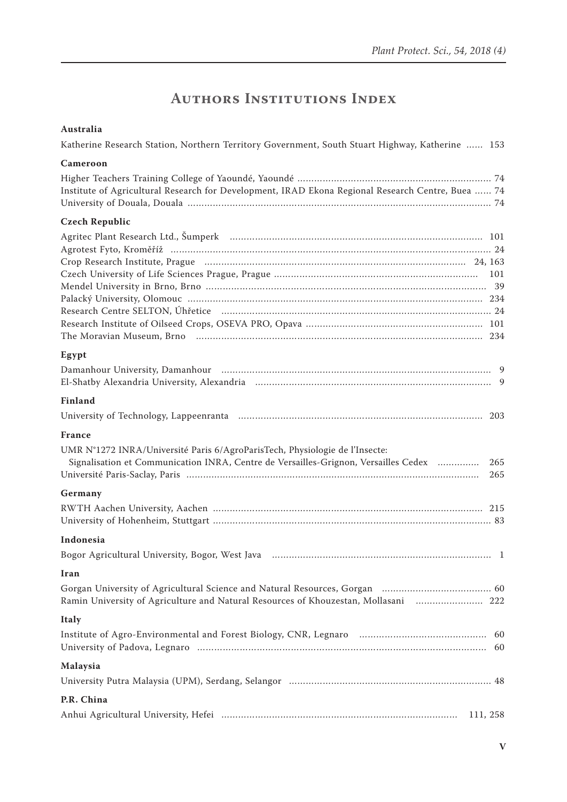## **Authors Institutions Index**

| Australia                                                                                                                                                                                         |
|---------------------------------------------------------------------------------------------------------------------------------------------------------------------------------------------------|
| Katherine Research Station, Northern Territory Government, South Stuart Highway, Katherine  153                                                                                                   |
| Cameroon                                                                                                                                                                                          |
| Institute of Agricultural Research for Development, IRAD Ekona Regional Research Centre, Buea  74                                                                                                 |
| <b>Czech Republic</b>                                                                                                                                                                             |
| Agritec Plant Research Ltd., Šumperk (1998) (1998) (1998) (1998) (1998) (1998) (1998) (1998) (1998) (1998) (19                                                                                    |
| Egypt                                                                                                                                                                                             |
|                                                                                                                                                                                                   |
| <b>Finland</b>                                                                                                                                                                                    |
|                                                                                                                                                                                                   |
| <b>France</b><br>UMR N°1272 INRA/Université Paris 6/AgroParisTech, Physiologie de l'Insecte:<br>Signalisation et Communication INRA, Centre de Versailles-Grignon, Versailles Cedex<br>265<br>265 |
| Germany                                                                                                                                                                                           |
|                                                                                                                                                                                                   |
| Indonesia                                                                                                                                                                                         |
|                                                                                                                                                                                                   |
| Iran                                                                                                                                                                                              |
| Ramin University of Agriculture and Natural Resources of Khouzestan, Mollasani  222                                                                                                               |
| <b>Italy</b>                                                                                                                                                                                      |
|                                                                                                                                                                                                   |
| Malaysia                                                                                                                                                                                          |
|                                                                                                                                                                                                   |
| P.R. China                                                                                                                                                                                        |
| 111, 258                                                                                                                                                                                          |